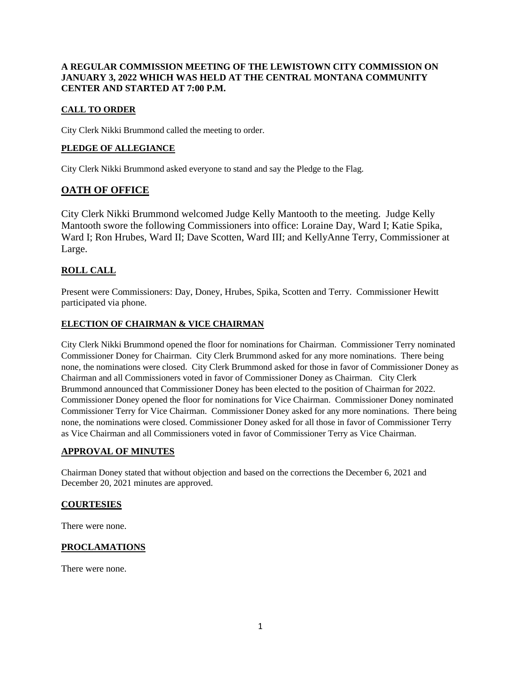### **A REGULAR COMMISSION MEETING OF THE LEWISTOWN CITY COMMISSION ON JANUARY 3, 2022 WHICH WAS HELD AT THE CENTRAL MONTANA COMMUNITY CENTER AND STARTED AT 7:00 P.M.**

# **CALL TO ORDER**

City Clerk Nikki Brummond called the meeting to order.

### **PLEDGE OF ALLEGIANCE**

City Clerk Nikki Brummond asked everyone to stand and say the Pledge to the Flag.

# **OATH OF OFFICE**

City Clerk Nikki Brummond welcomed Judge Kelly Mantooth to the meeting. Judge Kelly Mantooth swore the following Commissioners into office: Loraine Day, Ward I; Katie Spika, Ward I; Ron Hrubes, Ward II; Dave Scotten, Ward III; and KellyAnne Terry, Commissioner at Large.

# **ROLL CALL**

Present were Commissioners: Day, Doney, Hrubes, Spika, Scotten and Terry. Commissioner Hewitt participated via phone.

### **ELECTION OF CHAIRMAN & VICE CHAIRMAN**

City Clerk Nikki Brummond opened the floor for nominations for Chairman. Commissioner Terry nominated Commissioner Doney for Chairman. City Clerk Brummond asked for any more nominations. There being none, the nominations were closed. City Clerk Brummond asked for those in favor of Commissioner Doney as Chairman and all Commissioners voted in favor of Commissioner Doney as Chairman. City Clerk Brummond announced that Commissioner Doney has been elected to the position of Chairman for 2022. Commissioner Doney opened the floor for nominations for Vice Chairman. Commissioner Doney nominated Commissioner Terry for Vice Chairman. Commissioner Doney asked for any more nominations. There being none, the nominations were closed. Commissioner Doney asked for all those in favor of Commissioner Terry as Vice Chairman and all Commissioners voted in favor of Commissioner Terry as Vice Chairman.

### **APPROVAL OF MINUTES**

Chairman Doney stated that without objection and based on the corrections the December 6, 2021 and December 20, 2021 minutes are approved.

#### **COURTESIES**

There were none.

### **PROCLAMATIONS**

There were none.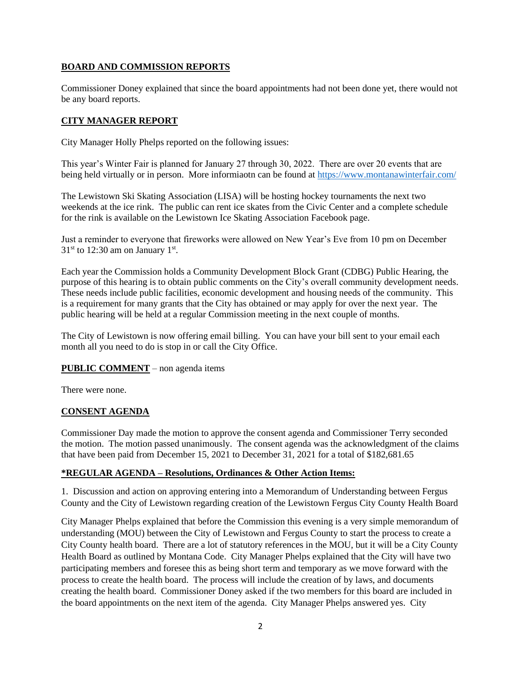## **BOARD AND COMMISSION REPORTS**

Commissioner Doney explained that since the board appointments had not been done yet, there would not be any board reports.

## **CITY MANAGER REPORT**

City Manager Holly Phelps reported on the following issues:

This year's Winter Fair is planned for January 27 through 30, 2022. There are over 20 events that are being held virtually or in person. More informiaotn can be found at<https://www.montanawinterfair.com/>

The Lewistown Ski Skating Association (LISA) will be hosting hockey tournaments the next two weekends at the ice rink. The public can rent ice skates from the Civic Center and a complete schedule for the rink is available on the Lewistown Ice Skating Association Facebook page.

Just a reminder to everyone that fireworks were allowed on New Year's Eve from 10 pm on December  $31<sup>st</sup>$  to 12:30 am on January 1<sup>st</sup>.

Each year the Commission holds a Community Development Block Grant (CDBG) Public Hearing, the purpose of this hearing is to obtain public comments on the City's overall community development needs. These needs include public facilities, economic development and housing needs of the community. This is a requirement for many grants that the City has obtained or may apply for over the next year. The public hearing will be held at a regular Commission meeting in the next couple of months.

The City of Lewistown is now offering email billing. You can have your bill sent to your email each month all you need to do is stop in or call the City Office.

### **PUBLIC COMMENT** – non agenda items

There were none.

### **CONSENT AGENDA**

Commissioner Day made the motion to approve the consent agenda and Commissioner Terry seconded the motion. The motion passed unanimously. The consent agenda was the acknowledgment of the claims that have been paid from December 15, 2021 to December 31, 2021 for a total of \$182,681.65

### **\*REGULAR AGENDA – Resolutions, Ordinances & Other Action Items:**

1. Discussion and action on approving entering into a Memorandum of Understanding between Fergus County and the City of Lewistown regarding creation of the Lewistown Fergus City County Health Board

City Manager Phelps explained that before the Commission this evening is a very simple memorandum of understanding (MOU) between the City of Lewistown and Fergus County to start the process to create a City County health board. There are a lot of statutory references in the MOU, but it will be a City County Health Board as outlined by Montana Code. City Manager Phelps explained that the City will have two participating members and foresee this as being short term and temporary as we move forward with the process to create the health board. The process will include the creation of by laws, and documents creating the health board. Commissioner Doney asked if the two members for this board are included in the board appointments on the next item of the agenda. City Manager Phelps answered yes. City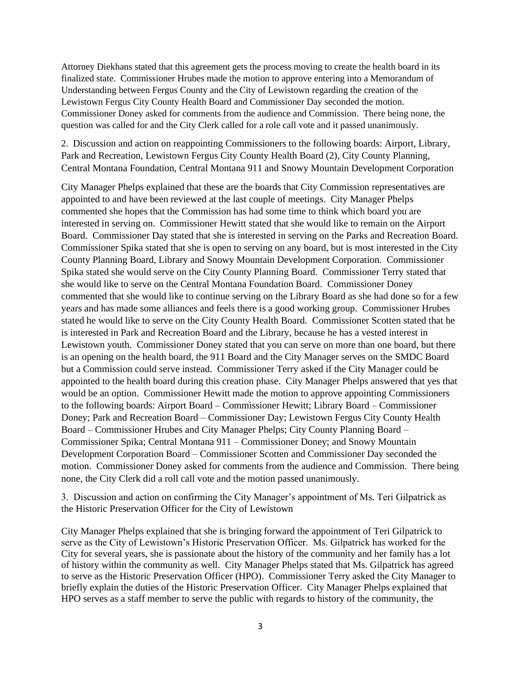Attorney Diekhans stated that this agreement gets the process moving to create the health board in its finalized state. Commissioner Hrubes made the motion to approve entering into a Memorandum of Understanding between Fergus County and the City of Lewistown regarding the creation of the Lewistown Fergus City County Health Board and Commissioner Day seconded the motion. Commissioner Doney asked for comments from the audience and Commission. There being none, the question was called for and the City Clerk called for a role call vote and it passed unanimously.

2. Discussion and action on reappointing Commissioners to the following boards: Airport, Library, Park and Recreation, Lewistown Fergus City County Health Board (2), City County Planning, Central Montana Foundation, Central Montana 911 and Snowy Mountain Development Corporation

City Manager Phelps explained that these are the boards that City Commission representatives are appointed to and have been reviewed at the last couple of meetings. City Manager Phelps commented she hopes that the Commission has had some time to think which board you are interested in serving on. Commissioner Hewitt stated that she would like to remain on the Airport Board. Commissioner Day stated that she is interested in serving on the Parks and Recreation Board. Commissioner Spika stated that she is open to serving on any board, but is most interested in the City County Planning Board, Library and Snowy Mountain Development Corporation. Commissioner Spika stated she would serve on the City County Planning Board. Commissioner Terry stated that she would like to serve on the Central Montana Foundation Board. Commissioner Doney commented that she would like to continue serving on the Library Board as she had done so for a few years and has made some alliances and feels there is a good working group. Commissioner Hrubes stated he would like to serve on the City County Health Board. Commissioner Scotten stated that he is interested in Park and Recreation Board and the Library, because he has a vested interest in Lewistown youth. Commissioner Doney stated that you can serve on more than one board, but there is an opening on the health board, the 911 Board and the City Manager serves on the SMDC Board but a Commission could serve instead. Commissioner Terry asked if the City Manager could be appointed to the health board during this creation phase. City Manager Phelps answered that yes that would be an option. Commissioner Hewitt made the motion to approve appointing Commissioners to the following boards: Airport Board – Commissioner Hewitt; Library Board – Commissioner Doney; Park and Recreation Board – Commissioner Day; Lewistown Fergus City County Health Board – Commissioner Hrubes and City Manager Phelps; City County Planning Board – Commissioner Spika; Central Montana 911 – Commissioner Doney; and Snowy Mountain Development Corporation Board – Commissioner Scotten and Commissioner Day seconded the motion. Commissioner Doney asked for comments from the audience and Commission. There being none, the City Clerk did a roll call vote and the motion passed unanimously.

3. Discussion and action on confirming the City Manager's appointment of Ms. Teri Gilpatrick as the Historic Preservation Officer for the City of Lewistown

City Manager Phelps explained that she is bringing forward the appointment of Teri Gilpatrick to serve as the City of Lewistown's Historic Preservation Officer. Ms. Gilpatrick has worked for the City for several years, she is passionate about the history of the community and her family has a lot of history within the community as well. City Manager Phelps stated that Ms. Gilpatrick has agreed to serve as the Historic Preservation Officer (HPO). Commissioner Terry asked the City Manager to briefly explain the duties of the Historic Preservation Officer. City Manager Phelps explained that HPO serves as a staff member to serve the public with regards to history of the community, the